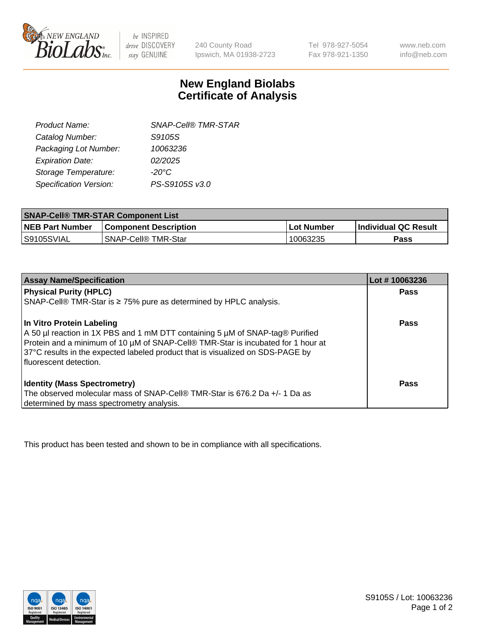

 $be$  INSPIRED drive DISCOVERY stay GENUINE

240 County Road Ipswich, MA 01938-2723 Tel 978-927-5054 Fax 978-921-1350

www.neb.com info@neb.com

## **New England Biolabs Certificate of Analysis**

| <b>SNAP-Cell® TMR-STAR</b> |
|----------------------------|
| S9105S                     |
| 10063236                   |
| 02/2025                    |
| $-20^{\circ}$ C            |
| PS-S9105S v3.0             |
|                            |

| <b>SNAP-Cell® TMR-STAR Component List</b> |                              |            |                             |  |
|-------------------------------------------|------------------------------|------------|-----------------------------|--|
| <b>NEB Part Number</b>                    | <b>Component Description</b> | Lot Number | <b>Individual QC Result</b> |  |
| IS9105SVIAL                               | SNAP-Cell® TMR-Star          | 10063235   | Pass                        |  |

| <b>Assay Name/Specification</b>                                                                                                                                                                                                                                                                              | Lot #10063236 |
|--------------------------------------------------------------------------------------------------------------------------------------------------------------------------------------------------------------------------------------------------------------------------------------------------------------|---------------|
| <b>Physical Purity (HPLC)</b>                                                                                                                                                                                                                                                                                | <b>Pass</b>   |
| SNAP-Cell® TMR-Star is ≥ 75% pure as determined by HPLC analysis.                                                                                                                                                                                                                                            |               |
| In Vitro Protein Labeling<br>A 50 µl reaction in 1X PBS and 1 mM DTT containing 5 µM of SNAP-tag® Purified<br>Protein and a minimum of 10 µM of SNAP-Cell® TMR-Star is incubated for 1 hour at<br>37°C results in the expected labeled product that is visualized on SDS-PAGE by<br>l fluorescent detection. | <b>Pass</b>   |
| <b>Identity (Mass Spectrometry)</b>                                                                                                                                                                                                                                                                          | Pass          |
| The observed molecular mass of SNAP-Cell® TMR-Star is 676.2 Da +/- 1 Da as                                                                                                                                                                                                                                   |               |
| determined by mass spectrometry analysis.                                                                                                                                                                                                                                                                    |               |

This product has been tested and shown to be in compliance with all specifications.